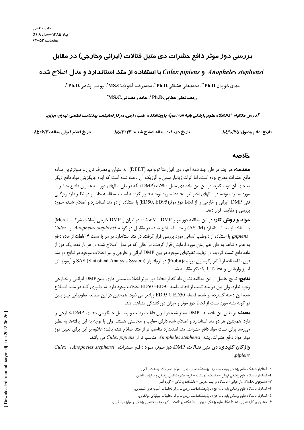# بررسی دوز موثر دافع حشرات دی متیل فتالات (ایرانی وخارجی) در مقابل

## Anopheles stephensi و Culex pipiens با استفاده از متد استاندارد و مدل اصلاح شده

مهدي خوبدل.Ph.D' ٌ، محمدعلي عشاقي.Ph.D '، محمدرضا آخوند.MS.C''. يونس يناهي.Ph.D ُ

رمضانعلى عطايي.Ph.D °، حامد رمضاني.MS.C ٌ

آدرس مكاتبه: \*دانشگاه علوم پزشكي بقيه االه (عج)، پژوهشكده طب رزمي، مركز تحقيقات بهداشت نظامي، تهران، ايران.

تاريخ اعلام وصول: ٨٤/١٠/٢٥

تاريخ دريافت مقاله اصلاح شده: ٨٥/٣/٢٣

تاريخ اعلام قبولي مقاله:٨٥/۶/٣٠

### خلاصه

**مقدمه:** هر چند در طی چند دهه اخیر، دی اتیل متا تولوآمید (DEET) به عنوان پرمصرف ترین و مـوثرترین مـاده دافع حشرات مطرح بوده است، اما اثرات زيانبار سمي و آلرژيک آن باعث شده است که ايده جايگزيني مواد دافع ديگر به جای آن قوت گیرد. در این بین ماده دی متیل فتالات (DMP) که در طی سالهای دور بـه عنـوان دافـع حـشرات مورد مصرف بوده، در سالهای اخیر نیز مجـددا مـورد توجـه قـرار گرفتـه اسـت. مطالعـه حاضـر در نظـر دارد ویژگـی فنی DMP ایرانی و خارجی را از لحاظ دوز موثر(ED50, ED95) با استفاده از دو متد استاندارد و اصلاح شـده مـورد بررسی و مقایسه قرار دهد.

مواد و روش کار: در این مطالعه دوز موثر DMP ساخته شده در ایران و DMP خارجی (ساخت شرکت Merck) با استفاده از متد استاندارد (ASTM) و متـد اصـلاح شـده در مقابـل دو گونـه Anopheles stephensi و Culex pipiens با استفاده از داوطلب انسانی مورد بررسی قرار گرفت. در متد استاندارد در هر با تست ۴ غلظت از ماده دافع به همراه شاهد به طور هم زمان مورد آزمایش قرار گرفت، در حالی که در مدل اصلاح شده در هر بار فقط یک دوز از ماده دافع تست گردید. در نهایت تفاوتهای موجود در بین DMP ایرانی و خارجی و نیز اختلاف موجود در نتایج دو متد فوق با استفاده از آنالیز رگرسیون پروبیت(Probit) در نرمافـزار SAS (Statistical Analysis System) و آزمونهـای آنالیز واریانس و T-test با یکدیگر مقایسه شد.

**نتايج:** نتايج حاصل از اين مطالعه نشان داد كه از لحاظ دوز موثر اختلاف معنـي داري بـينDMP ايرانـي و خـارجي وجود ندارد. ولي بين دو متد تست از لحاظ دامنه ED50 –ED50 اختلاف وجود دارد. به طـوري كـه در متـد اصـلاح شده این دامنه گسترده تر شده، فاصله ED50 تا ED95 زیادتر می شود. همچنین در این مطالعه تفاوتهایی نیـز بـین دو گونه پشه مورد تست از لحاظ دوز موثر و میزان دورکنندگی مشاهده شد.

**بحث:** بر طبق این یافته ها، DMP سنتز شده در ایران قابلیت رقابت و پتانسیل جایگزینی بجـای DMP خـارجی را دارد. همچنین هر دو متد استاندارد و اصلاح شده دارای معایب و محاسنی هستند، ولی با توجه به این یافتهها به نظـر میرسد برای تست مواد دافع حشرات، متد استاندارد مناسب تر از متد اصلاح شده باشد؛ علاوه بر این برای تعیین دوز موثر مواد دافع حشرات، پشه Anopheles stephensi مناسب تر از Culex pipiens می باشد.

واژگان کلیدی: دی متیل فتـالات، DMP، دوز مـوثر، مـواد دافـع حـشرات، Anopheles stephensi ، Culex ، pipiens

۱– استادیار دانشگاه علوم پزشکی بقیها...(عج) \_ پژوهشکدهٔطب رزمی \_ مرکز تحقیقات بهداشت نظامی.

۲– استادیار دانشگاه علوم پزشکی تهران – دانشکده بهداشت – گروه حشره شناسی پزشکی و مبارزه با ناقلین.

۳- دانشجوی .Ph.D آمار حیاتی- دانشگاه تر بیت مدرس - دانشکده پزشکی - گروه آمار.

۴- استادیار دانشگاه علوم پزشکی بقیها...(عج) ــ پژوهشکدهٔطب رزمی ــ مرکز تحقیقات آسیب های شیمیایی.

۵– استادیار دانشگاه علوم یزشکی بقیه۱۰۰۰(عج) ــ پژوهشکدهٔطب رزمی ــ مرکز تحقیقات بیولوژی مولکولی.

۶– دانشجوی کارشناسی ارشد دانشگاه علوم پزشکی تهران – دانشکده بهداشت – گروه حشره شناسی پزشکی و مبارزه با ناقلین.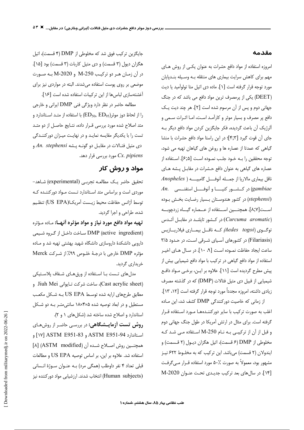#### مقدمه

امروزه استفاده از مواد دافع حشرات به عنوان یکبی از روش هـای مهم برای کاهش سرایت بیماری های منتقله بـه وسـیله بنـدپایان مورد توجه قرار گرفته است [۱]. ماده دی اتیل متا تولوآمید یا دیت (DEET) یکی از پرمصرف ترین مواد دافع می باشد که در جنگ جهانی دوم و پس از آن مرسوم شده است [۲]. هر چند دیت یک دافع پر مصرف و بسیار موثر و کارآمد است، امـا اثـرات سـمى و آلرژیک آن باعث گردیده، فکر جایگزین کردن مواد دافع دیگر بـه جاى آن قوت گيرد [۴;۳]؛ در اين راستا مواد دافع حشرات با منشا گیاهی که عمدتا از عصاره ها و روغن های گیاهان تهیه می شود، توجه محققین را بـه خـود جلـب نمـوده اسـت [۶٫۵]. اسـتفاده از عصاره های گیاهی به عنوان دافع حشرات در مقابل پشه های ناقل بیماری مالاریا از جمــله آنوفـــل گامبیــــه ( Anopheles  $An.$  در كـــشـــور كنيــــــا و آنوفـــــل استفنــسى (gambiae (stephensi) در کشور هندوستان بسیار رضایت بخش بوده اســت[۸٫۷]. همچنـــین اســتفاده از عــصاره گیــاه زردچوبــه در کشور تایلنـد در مقابـل آئـدس (Curcuma aromatic) توگــوی (Aedes \_togoi) کــه ناقــل بیمــاری فیلاریـــازیس (Filariasis) در کشورهای آسیای شرقی است، در حدود ۳/۵ ساعت ايجاد حفاظت نمـوده اسـت [٩، ١٠]. در سـال هـاى اخيـر استفاده از مواد دافع گیاهی در ترکیب با مواد دافع شیمیایی بیش از پیش مطرح گردیده است [۱۱]. علاوه بر ایـن، برخـی مـواد دافـع شیمیایی از قبیل دی متیل فتالات (DMP) که در گذشته مصرف زيادي داشته، امروزه مجدداً مورد توجه قرار گرفته است [١٣، ١٣]. از زمانی که خاصیت دورکنندگی DMP کشف شد، این ماده

اغلب به صورت ترکیب با سایر دورکننـدههـا مـورد اسـتفاده قـرار گرفته است. برای مثال در ارتش آمریکا در طول جنگ جهانی دوم و قبل از آن از ترکیبی بـه نـام M-250 اسـتفاده مـی شـد کـه مخلوطي از DMP (۶ قسمت)، اتيل هگزان ديـول (۲ قـسمت) و ایندولان (۲ قسمت) میباشد. این ترکیب که به مخلـوط ۶۲۲ نیـز مشهور بود، معمولاً به صورت ۵۰٪ مورد استفاده قـرار مـي5رفـت [۱۴]. در سال های بعد ترکیب جدیدی تحت عنوان M-2020

جایگزین ترکیب فوق شد که مخلوطی از DMP (۴ قسمت)، اتیل هگزان ديول (٣ قسمت) و دي متيل كاربات (٣ قسمت) بود [١٥]. در آن زمـان هـر دو تركيـب M-250 و M-2020 بـه صـورت موضعی بر روی پوست استفاده میشدند. البته در مواردی نیز برای آغشتهسازی لباسها از این ترکیبات استفاده شده است [۱۶].

مطالعه حاضر در نظر دارد ویژگی فنی DMP ایرانی و خارجی را از لحاظ دوز موثر(ED<sub>50</sub>, ED<sub>95)</sub> با استفاده از متـد اسـتاندارد و متد اصلاح شده مورد بررسی قـرار داده، نتـایج حاصـل از دو متـد تست را با یکدیگر مقایسه نماید و در نهایت میزان دورکنندگی دى متيل فتالات در مقابـل دو گونـه پـشه An. stephensi و مورد بررسی قرار دهد. Cx. pipiens

# مواد و روش کار

تحقيق حاضر يك مطالعـه تجربـي (experimental) شـاهد-موردی است و براساس متد استاندارد تـست مـواد دورکننـده کـه توسط أژانس حفاظت محيط زيـست آمريكـا(US EPA) تنظـيم شده، طراحی و اجرا گردید.

**تهيه مواد دافع مورد نياز و مواد مؤثره أنهــا:** مـاده مـؤثره (DMP (active ingredient) ساخت داخل از گروه شیمی دارویی دانشکدهٔ داروسازی دانشگاه شهید بهشتی تهیه شد و مـاده مؤثره DMP خارجي با درجة خلوص ٩٩٪ از شركت Merck خريداري گرديد.

مدلهای تـست بـا اسـتفاده از ورق&ای شـفاف پلاسـتیکی (Cast acrylic sheet)، ساخت شركت تـايواني Jiuh Mei و مطابق طرحهای ارایه شده توسط US EPA بـه شـكل مكعب مستطیل و در ابعاد توصیه شده ۰۸×۱۸×۲ سانتی متـر بـه دو شـکل استاندارد و اصلاح شده ساخته شد (شکل های ۱ و ۲).

روش تست آزمایـشگاهی: در بررسی حاضـر از روشهـای استاندارد ASTM E951-94 و ASTM E951-93 [١٧] و همچنین روش اصلاح شـده آن (ASTM modified) [۸] استفاده شد. علاوه بر این، بر اساس توصیه US EPA و مطالعات قبلی تعداد ۴ نفر داوطلب (همگی مرد) بـه عنـوان سـوژهٔ انـسانی (Human subjects) انتخاب شدند. ارزشیابی مواد دورکننده نیز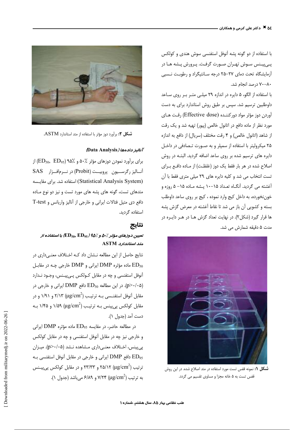با استفاده از دو گونه پشه آنوفل استفنسی سوش هندی و کولکس پےپینس سوش تھـران صـورت گرفـت. پـرورش پـشه هـا در آزمایشگاه تحت دمای ٢٧-٢۵ درجه سـانتیگراد و رطوبت نـسبی ۸۰–۷۰ درصد انجام شد.

با استفاده از الگو، ۵ دایره در اندازه ۲۹ میلی متر بر روی ساعد داوطلبین ترسیم شد. سپس بر طبق روش استاندارد برای به دست آوردن دوز مؤثر مواد دوركننـده (Effective dose) رقـت هـاي مورد نظر از ماده دافع در اتانول خالص (پیور) تهیه شد و یک رقت از شاهد (اتانول خالص) و ۴ رقت مختلف (سريال) از دافع به اندازه ۲۵ میکرولیتر با استفاده از سمپلر و به صـورت تـصادفی در داخـل دایره های ترسیم شده بر روی ساعد اضافه گردید. البتـه در روش اصلاح شده در هر بار فقط یک دوز (غلظت) از مـاده دافـع بـرای تست انتخاب می شد و کلیه دایره های ٢٩ میلی متری فقط با آن آغشته می گردید. آنگـاه تعـداد ۱۵−۱۰ پـشه مـاده ۱۵− ۵ روزه و خوننخورده، به داخل کیج وارد نموده ، کیج بر روی ساعد داوطلب بسته و کشویی آن باز می شد تا نقاط آغشته در معرض گزش پشه ها قرار گیرد (شکل۲). در نهایت تعداد گزش هـا در هـر دایـره در مدت ۵ دقیقه شمارش می شد.



شكل ۱: نمونه قفس تست مورد استفاده در متد اصلاح شده. در این روش قفس تست به ۵ خانه مجزا و مساوی تقسیم می گردد.



شكل ۲: برأورد دوز مؤثر با استفاده از متد استاندارد ASTM.

#### Data Analysis) *اناليز دادهها*

برای برآورد نمودن دوزهای مؤثر ۵۰٪ و ۵۰٪ (ED<sub>50</sub>, ED<sub>95)</sub> از آنــاليز رگرســـيون پروبيــت (Probit) در نـــرمافــزار SAS (Statistical Analysis System) استفاده شد. برای مقایسه متدهای تست، گونه های پشه های مورد تست و نیز دو نوع مـاده دافع دی متیل فتالات ایرانی و خارجی از آنالیز واریانس و T-test استفاده گردید.

### نتايج

## تعیین دوزهای مؤثر  $\lambda$ ۵۰ و  $\langle$ ۹۵ (ED  $_{50},$  ED با استفاده از  $ASTM$  متد $/$ ستاند

نتایج حاصل از این مطالعه نــشان داد کــه اخــتلاف معنــی،داری در ماده مؤثره DMP ایرانی و DMP خارجی چـه در مقابـل BMP آنوفل استفنسي و چه در مقابل كـولكس پـي.پيـنس، وجـود نـدارد در این مطالعه ED<sub>50</sub> دافع DMP ایرانی و خارجی در (p>۰/۰۵ مقابل آنوفل استفنـسي بــه ترتيــب (µg/cm²) ۲/۱۳ و ۱/۹۱ و در مقابل کولکس یی پینس بـه ترتیـب (۱/۵۹ (µg/cm²) ۱/۴۵ و ۱/۴۵ بـه دست آمد (جدول ۱).

در مطالعه حاضر، در مقايسه ED<sub>95</sub> ماده مؤثره DMP ايرانى و خارجی نیز چه در مقابل آنوفل استفنسی و چه در مقابل کولکس پی پینس، اختلاف معنـیداری مـشاهده نـشد (p>٠/٠۵). میـزان دافع DMP ایرانی و خارجی در مقابل آنوفل استفنسی بـه ED $_{95}\,$ ترتیب (18/cm $^2$  ( ۲۵/۱۲ و ۲۳/۳۳ و در مقابل کولکس پی $_{\rm \omega}$ ینس به ترتيب (19/cm² (µg/cm²) و ۶/۸۹ می باشد (جدول ۱).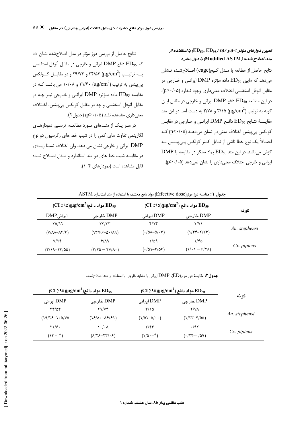تعیین دوزهای مؤثر ٪-۵ و ٪10 (ED<sub>50</sub>, ED<sub>95</sub>) با استفاده از متد اصلاح شده (Modified ASTM) با دوز منفرد

نتايج حاصل از مطالعه با مـدل كـيج(cage) اصـلاحشـده نـشان می دهد که مابین ED<sub>50</sub> ماده مؤثره DMP ایرانـی و خـارجی در مقابل آنوفل استفنسي اختلاف معنى داري وجود نـدارد (p>٠/٠۵). در این مطالعه ED<sub>50</sub> دافع DMP ایرانی و خارجی در مقابل ایـن گونه به ترتیب (μg/cm²) ۳/۱۵ و ۲/۷۸ به دست آمد. در این متد مقايسة نتايج ED<sub>50</sub> دافع DMP ايراني و خارجي در مقابـل کولکس پے پینس اختلاف معنی دار نشان می دھـد (p<۰/۰۵) کـه احتمالاً یک نوع خطا ناشی از تمایل کمتر کولکس پـیEپیـنس بـه  $\text{DMP}$  گزش میباشد. در این متد  $\text{ED}_{50}$  پماد سنگر در مقایسه با ایرانی و خارجی اختلاف معنیداری را نشان نمی دهد (p>٠/٠۵).

نتايج حاصل از بررسي دوز مؤثر در مدل اصلاح شده نشان داد كه ED<sub>95</sub> دافع DMP ايراني و خارجي در مقابل آنوفل استفنسي بــه ترتيــب (119/cm2) ۳۴/۵۴ و ۲۹/۷۴ و در مقابــل كــولكس ی پینس به ترتیب (۱۰/۰۸ و ۱۰/۰۸ می باشـد کـه در مقايسه  $\rm ED_{95}$  ماده مـؤثره  $\rm DMP$  ايرانـي و خـارجي نيـز چـه در مقابل آنوفل استفنسي و چه در مقابل كولكس پي پينس، اختلاف  $(p>+(0)$ معنی داری مشاهده نشد (p>۰/۰۵) (جدول ۲).

در هـر يـك از متـدهاى مـورد مطالعـه، ترسـيم نمودارهـاى لگاریتمی تفاوت های کمی را در شیب خط های رگرسیون دو نوع DMP ایرانی و خارجی نشان می دهد. ولی اختلاف نسبتا زیادی در مقایسه شیب خط های دو متد استاندارد و مـدل اصـلاح شـده قابل مشاهده است (نمودارهای ۴-۱).

|  | جدول 1: مقايسه دوز موثر(Effective dose) مواد دافع مختلف با استفاده از متد استاندارد ASTM |
|--|------------------------------------------------------------------------------------------|
|  |                                                                                          |

| $\rm (CI \,\textit{}/\textit{A}\textit{\&O})(\mu g/cm^2)$ مواد دافع ED <sub>95</sub> |                               | $\rm (CI$ /٩٥)( $\rm \mu g/cm^2$ ) مواد دافع ED <sub>50</sub> |                                                                      |               |
|--------------------------------------------------------------------------------------|-------------------------------|---------------------------------------------------------------|----------------------------------------------------------------------|---------------|
| $DMP_{i}$ ایرانی                                                                     | DMP خارجي                     | DMP ایرانی                                                    | DMP خارجي                                                            | گو نه         |
| YQ/Y                                                                                 | $\tau\tau/\tau\tau$           | Y/Y                                                           | 1/91                                                                 | An. stephensi |
| $(V/\lambda\lambda-\lambda\mathfrak{r}/\mathfrak{r})$                                | $(1499 - 0.719)$              | $(\cdot/\mathsf{QA}-\mathsf{Q}/\cdot\mathcal{F})$             | $(\frac{1}{\gamma^2}-\frac{1}{\gamma^2})$                            |               |
| V/Yf                                                                                 | $8/\lambda$                   | ۱/۵۹                                                          | ۱/۴۵                                                                 |               |
| $(Y/19-YY/00)$                                                                       | $(Y/Y_0 - YV/\Lambda \cdot )$ | $(\cdot/\Delta) - f/\Delta f)$                                | $(\frac{\gamma}{\cdot} \cdot - \frac{\epsilon}{\cdot} \cdot \alpha)$ | $Cx.$ pipiens |

جدول؟: مقايسة دوز موثر(ED)، DMP ايراني با مشابه خارجي با استفاده از متد اصلاحشده.

| $(CI X^4\omega)(\mu g/cm^2)$ مواد دافع ED <sub>95</sub> |                                                         | $\rm (CI$ /(۹۵ مواد دافع ( $\rm \mu g/cm^2$ ) مواد دافع $\rm \mathbf{ED_{50}}$ |                 |               |  |
|---------------------------------------------------------|---------------------------------------------------------|--------------------------------------------------------------------------------|-----------------|---------------|--|
| DMP ایرانی                                              | DMP خارجي                                               | DMP ایرانی                                                                     | DMP خارجى       | گو نه         |  |
| $\tau$ $\gamma$                                         | Y9/Yf                                                   | ۲/۱۵                                                                           | <b>Y/VA</b>     |               |  |
| $(19/75 - 1.0/\sqrt{0})$                                | $(\frac{8}{4}(\lambda - \frac{8}{7})$                   | $(1/\Delta 7-\Delta/\cdot\cdot)$                                               | $(1/55 - 6/20)$ | An. stephensi |  |
| $\frac{1}{2}$                                           | $\lambda \cdot / \cdot \Lambda$                         | $\tau/\tau$                                                                    | $\cdot$ /۴۲     | $Cx.$ pipiens |  |
| $(Y^* - 1)$                                             | $(F Y_{\mathcal{F}}-Y_{\mathcal{F}} \cdot \mathcal{F})$ | $(1/\Delta - 1^*)$                                                             | $(174 - 109)$   |               |  |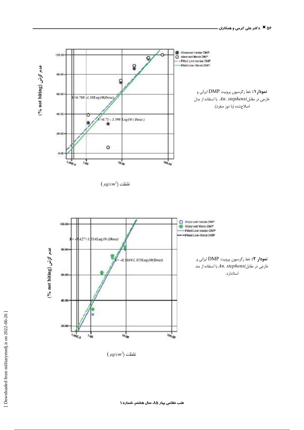

 $(\mu g/cm^2)$  غلظت



 $(\mu g/cm^2)$  غلظت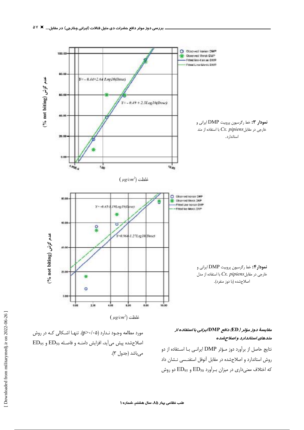

مقایسهٔ دوز مؤثر ( ED) دافع DMP/یرانی با استفاده از متدهای استاندارد و اصلاحشده

نتايج حاصل از برآورد دوز مـؤثر DMP ايرانـي بــا اسـتفاده از دو روش استاندارد و اصلاحشده در مقابل آنوفل استفنسی نشان داد که اختلاف معنیداری در میزان برآورد ED50 و ED55 دو روش

مورد مطالعه وجـود نـدارد (۵-۰/۰^(p>). تنهـا اشـكالي كـه در روش  $ED_{95}$  اصلاح شده پیش می آید، افزایش دامنـه و فاصـله  $ED_{50}$  و می باشد (جدول ۳).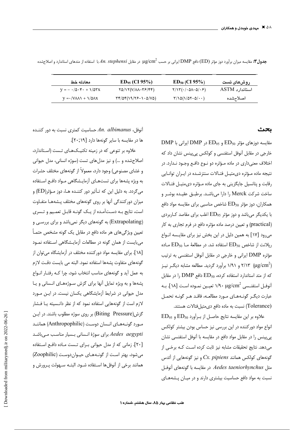| معادله خط                                                                         | $ED_{95}$ (CI 95%)                                                    | $ED_{50}$ (CI 95%)                                        | روشهای تست     |
|-----------------------------------------------------------------------------------|-----------------------------------------------------------------------|-----------------------------------------------------------|----------------|
| $V = -\frac{1}{2} \delta \cdot \mathbf{r} + \frac{1}{2} \delta \mathbf{r} \times$ | $YQ/Y(Y XA-YF/FF)$                                                    | $Y/Y(\cdot/\cdot \Delta A-\Delta/\cdot F)$                | استاندارد ASTM |
| $V = \frac{1}{2} \sqrt{2\lambda}$                                                 | $\Upsilon f/\Delta f(\Upsilon(\Upsilon)-\Upsilon\cdot\Delta/V\Delta)$ | $\tau/\Omega(\frac{1}{\Delta \tau - \Delta/\cdot \cdot})$ | اصلاحشده       |

ج**دول"Y:** مقايسه ميزان برآورد دوز مؤثر (ED) دافع DMP ايراني بر حسب "µg/cm در مقابل *An. stephensi ب*ا استفاده از متدهاى استاندارد و اصلاحشده

#### ىحث

 $\rm DMP$  مقایسه دوزهای مؤثر  $\rm ED_{95}$  و  $\rm ED_{95}$  در  $\rm DMP$  ایرانی با خارجی در مقابل آنوفل استفنسی و کولکس پی پینس نشان داد که اختلاف معنی داری در ماده مـؤثره دو نـوع دافـع وجـود نـدارد. در نتیجه ماده مؤثره دی متیل فتالات سنتزشده در ایران توانایی رقابت و پتانسیل جایگزینی به جای ماده مـؤثره دی متیـل فتـالات ساخت شرکت Merck را دارا میباشـد. برطبـق عقیـده بوشـر و همکاران، دوز مؤثر  $\mathrm{ED}_{50}$  شاخص مناسبی برای مقایسه مواد دافع با یکدیگر می باشد و دوز مؤثر ED95 اغلب برای مقاصد کـاربردی (practical) و تعیین درصد ماده مؤثره دافع در فرم تجاری به کار میرود [۱۷] به همین دلیل در این بخش نیز برای مقایـسه انـواع  $\rm{ED_{50}}$  ریلانت از شاخص  $\rm{ED_{50}}$  استفاده شد. در مطالعهٔ مـا $\rm{ED_{50}}$  مـاده مؤثره DMP ایرانی و خارجی در مقابل آنوفل استفنسی به ترتیب ۲/۱۳ ( $\mu$ ی ۲/۱۳) و ۱/۹۱ برآورد گردید. مطالعه مشابه دیگ زنیـز که از متد استاندارد استفاده کرده، ED50 دافع DMP را در مقابل آنوفـل استفنـسي ^N۰ µg/cm تعيـين نمـوده اسـت [۱۸]. بـه عبارت دیگـر گونـههـای مـورد مطالعـه، فاقـد هـر گونـه تحمـل (Tolerance) نسبت به ماده دافع دى متيل فتالات هستند.

 $ED_{95}$  علاوه بر این مقایسه نتایج حاصل از برآورد ED50 و انواع مواد دورکننده در این بررسی نیز حساس بودن بیشتر کولکس پی پینس را در مقابل مواد دافع در مقایسه با آنوفل استفنسی نشان میدهد. نتایج تحقیقات مشابه نیز ثابت کرده است کـه برخـی از گونههای کولکس همانند Cx. pipiens و نیز گونههایی از آئدس مثل Aedes taeniorhynchus در مقايسه با گونههاى آنوفىل نسبت به مواد دافع حساسیت بیشتری دارند و در میـان پـشههـای

 $A$ n. albimanus آنوفل،  $A$ i حساسیت کمتری نسبت به دور کننـده ها در مقایسه با سایر گونهها دارد [۶۰;۲۰].

علاوه بر تنوعی که در زمینه تکنیکهای تـست (استاندارد، اصلاح شده و ...) و نیز مدل های تست (سوژه انسانی، مدل حیوانی و غشای مصنوعی) وجود دارد، معمولاً از گونههای مختلف حشرات به ویژه پشهها برای تستهـای آزمایـشگاهی مـواد دافـع اسـتفاده میگردد. به دلیل این که تـأثیر دور کننـده هـا، دوز مـؤثر(ED) و میزان دورکنندگی آنها بر روی گونههای مختلف پـشههـا متفـاوت است، نتايج به دستآمده از يك گونـه قابـل تعمـيم و تـسرى (Extrapolating) به گونههای دیگر نمیباشد و برای بررسـی و تعیین ویژگیهای هر ماده دافع در مقابل یک گونه مشخص حتمـاً میبایست از همان گونه در مطالعات آزمایـشگاهی اسـتفاده نمـود [۱۸]. برای مقایسه مواد دورکننده مختلف در آزمایشگاه میتوان از گونههای متفاوت پشهها استفاده نمود. البته می بایست دقت لازم به عمل آید و گونههای مناسب انتخاب شود، چرا کـه رفتـار انـواع پشهها و به ویژه تمایل آنها برای گزش سوژههای انسانی و یا مدل حیوانی در شرایط آزمایشگاهی یکسان نیست. در ایـن مـورد لازم است از گونههایی استفاده نمود که از نظر دانـسیته یـا فـشار گزش(Biting Pressure) بر روی سوژه مطلوب باشند. در ایـن مـورد گونـههـای انـسان دوسـت (Anthropophilic) هماننـد Aedes aegypti برای سوژهٔ انـسانی بـسیار مناسـب مـیباشـد [٢٠]. زمانی که از مدل حیوانی برای تـست مـاده دافـع استفاده میشود، بهتر است از گونههای حیوان دوست (Zoophilic) همانند برخی از آنوفلها اسـتفاده شــود. البتــه ســهولت پــرورش و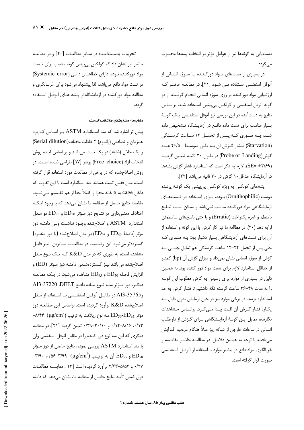دست یابی به گونهها نیز از عوامل مؤثر در انتخاب پشهها محسوب مے ,گر دد.

در بسیاری از تستهای مـواد دورکننـده بـا سـوژه انـسانی از آنوفل استفنسی استفاده مبی شـود [۲۱]. در مطالعـه حاضـر کـه ارزشیابی مواد دورکننده بر روی سوژه انسانی انجـام گرفـت، از دو گونه آنوفل استفنسی و کولکس پی پینس استفاده شد. براساس نتایج به دستآمده در این بررسی نیز آنوفل استفنـسی یـک گونـهٔ بسیار مناسب برای تست ماده دافع در آزمایـشگاه تـشخیص داده شـد، بـه طـوري كـه پـس از تحمـل ١٢ سـاعت گرسـنگي (Starvation) فشار گزش آن به طور متوسط ۲۶/۵ عدد گزش(Probe or Landing) در طـول ۳۰ ثانیـه تعیـین گردیـد (SE= ±٣/۶٩). لازم به ذكر است كه استاندارد فشار گزش پشهها در آزمایشگاه حداقل ۱۰ گزش در ۳۰ ثانیه میباشد [۲۲].

پشههای کولکس به ویژه کولکس پیپینس یک گونـه پرنـده دوست (Ornithophilic) بوده، برای استفاده در تستهای آزمایشگاهی مواد دورکننده مناسب نمیباشد و ممکن است نتـایج نامنظم و غيره يكنواخت (Erratic) و يا حتى پاسخهاى نـامطمئن ارايه دهد (٢٠). در مطالعه ما نيز كار كردن با اين گونه و استفاده از آن برای تستهای آزمایشگاهی بسیار دشوار بود؛ بـه طـوری کـه حتی پس از تحمل ۲۴-۱۲ ساعت گرسنگی هم تمایل چندانی بـه گزش از سوژه انسانی نشان نمیداد و میزان گزش آن (bp) کمتـر از حداقل استاندارد لازم برای تست مواد دور کننده بود. به همین دلیل در بسیاری از موارد برای رسیدن به گزش مطلوب این گونـه را به مدت ۴۸-۳۶ ساعت گرسنه نگه داشتیم تا فشار گزش به حد استاندارد برسد. در برخی موارد نیز در حین آزمایش بدون دلیل بـه یکباره فشار گزش آن افت پیدا می کرد. براساس مشاهدات نگارنده، تمایل ایـن گونـهٔ آزمایـشگاهی بـرای گـزش از داوطلـب انسانی در ساعات خارجی از شبانه روز مثلاً هنگام غروب، افـزایش می یافت. با توجه به همین دلایل، در مطالعه حاضر مقایسه و غربالگری مواد دافع در بیشتر موارد با استفاده از آنوفـل استفنـسی صورت قرار گرفته است.

تجربیات بدستآمده در سایر مطالعات [۲۰] و در مطالعـه حاضر نیز نشان داد که کولکس پی2پینس گونه مناسب برای تـست مواد دورکننده نبوده، دارای خطاهـای ذاتـی (Systemic error) در تست مواد دافع میباشد، لذا پیشنهاد میشود برای غربـالگری و مطالعه مواد دورکننده در آزمایشگاه از پـشه هـای آنوفـل اسـتفاده گر دد.

#### مقایسه مدلهای مختلف تست

پیش تر اشاره شد که متد اسـتاندارد ASTM بـر اسـاس کــاربرد همزمان و تصادفي (راندوم) ۴ غلظت مختلف(Serial dilution) و یک حلال (شاهد) در یک تست میباشد و بر اساس ایـده روش انتخاب آزاد (Free choice) بوشر [۱۷] طراحی شده است. در روش اصلاحشده که در برخی از مطالعات مورد استفاده قرار گرفته است، مدل قفس تست همانند متد استاندارد است با این تفاوت که داخل cage به ۵ خانه مجزا و کاملاً جدا از هم تقـسیم مـی شـود. مقایسه نتایج حاصل از مطالعه ما نشان میدهد که با وجود اینکـه اختلاف معنـیداری در نتـایج دوز مـؤثر ED50 و ED95 دو مـدل استاندارد ASTM و اصلاحشده وجـود نداشـت ولـى دامنـه دوز  $\rm (ED_{50}$  مؤثر (فاصلهٔ  $\rm ED_{95}$  و  $\rm ED_{95}$ ) در مدل اصلاحشده  $\rm (1)$  دوز منفـرد گستردهتر می شود. این وضعیت در مطالعـات سـایرین ِ نیـز قابـل مشاهده است، به طوری که در مدل K&D کـه یـک نـوع مـدل اصلاحشده میباشد نیـز گــستردهشـدن دامنــه دوز مــؤثر (ED) و افزایش فاصله ED<sub>90</sub> و ED<sub>95</sub> مشاهده می شود. در یک مطالعـه دیگـر، دوز مـؤثر سـه نـوع مـاده دافـع DEET، 37220-AI3 و35765-AI3 در مقابـل آنوفـل استفنـسي بـا اسـتفاده از مـدل اصلاح شده K&D برآورد گردیده است. براساس این مطالعـه دوز –۸/۴۴  $\rm ( \mu g/cm^{2})$  سه نوع ریلانت به ترتیب  $\rm ED_{50}\text{-}ED_{95}$  مؤثر ۰/۱۳-۸/۱۶ ۰/۱۲-۱۲۰ و ۳۰/۱۰-۰/۳۹ تعیین گردید [۲۱]. در مطالعه دیگری که این سه نوع دور کننده را در مقابل آنوفل استفنسی ولی با متد استاندارد ASTM بررسی نموده، نتایج حاصل از دوز مـؤثر –۳/۹۰ ، ۱۵۶–۳/۹۹ آن به ترتیب ( $\mu$ ۳/۹۹ ( $\mu$ ۳/۹۹ ) و ED و ED  $_{50}$ ٠/٢٧ و ٢/٥٣-٢/٢٣ برآورد گرديده است [٢٣]. مقايسه مطالعات فوق ضمن تأييد نتايج حاصل از مطالعه ما، نشان مى دهد كه دامنه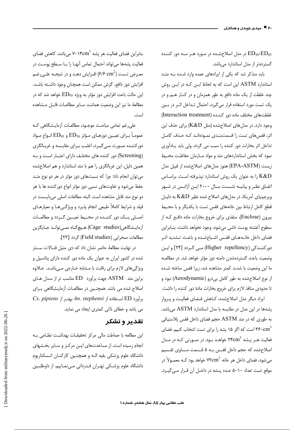در مدل اصلاحشده در مورد هـر سـه دور کننـده E ${\rm D_{50}\text{-}ED_{95}}$ گستردهتر از مدل استاندارد میباشد.

باید متذکر شد که یکی از ایرادهای عمده وارد شده به متد استاندارد ASTM این است که به لحاظ ایـن کـه در ایـن روش چند غلظت از یک ماده دافع به طور همزمان و در کنـار هـم و در یک تست مورد استفاده قرار میگیرد، احتمال تـداخل اثـر در بـین غلظتهای مختلف ماده دور کننـده (Interaction treatment) وجود دارد. در مدل های اصلاح شده (مثل K&D) برای حذف این اثر، قفس های تست را قسمتبندی نمودهاند کـه حـذف کامـل تداخل اثر بخارات دور كننده را سبب مي گردد. ولي بايد يادآوري نمود که بخش استانداردهای متد و مواد سـازمان حفاظـت محـيط زیست (EPA-ASTM) هنوز مدل های اصلاح شده از قبیل مدل K&D را به عنوان یک روش استاندارد نیذیرفته است. براسـاس اتفـاق نظـر و بيانيــه نشــست سـال ٢٠٠٠ ايـن آژانـس در شـهر ویرجینیای آمریکا، در مدل های اصلاح شده نظیر K&D به دلیل قطع كامل ارتباط بين خانههاى قفس تست با يكديگر و با محيط بیرون (Enclose)، منفذی برای خروج بخارات ماده دافع کـه از سطوح آغشته پوست ناشي مي شود، وجود نخواهد داشت، بنـابراين .<br>فضای داخل خانـههـای قفـس اشـباعشـده و باعـث تـشدید اثـر دورکننـدگی (Higher repellency) مـی گـردد [۲۴] و ایـن وضعیت باعث گستردهشدن دامنه دوز مؤثر خواهد شد. در مطالعـه ما این وضعیت با شدت کمتر مشاهده شد، زیرا قفس ساخته شـده از نوع اصلاح شده به طور كامل بى درو (Aerodynamic) نبود و تا حدودی منافذ لازم برای خروج بخارات مادهٔ دور کننده را داشت.

ایراد دیگر مدل اصلاحشده، کـاهش فـضای فعالیـت و پـرواز پشهها در این مدل در مقایسه با مدل استاندارد ASTM میباشد. به طوری که در متد ASTM حجم فضای داخل قفس پلاستیکی است که اگر ۱۵ پشه را برای تست انتخاب کنیم، فضای  $\rm{r} s\cdot cm^3$ فعالیت هـر یـشه  $\,^3$ ۲۴cm خواهـد بـود. در صـورتی کـه در مـدل اصلاح شده که حجم داخل قفس بـه ۵ قـسمت مـساوى تقـسيم می شود، فضای داخل هر خانه ۷۲cm $^3$  خواهد بود کـه معمـولاً در موقع تست تعداد ١٠−۵ عـدد پـشه در داخـل آن قـرار مـي€يـرد.

بنابراین فضای فعالیت هر پشه ۱۴cm<sup>3</sup> میباشد. کاهش فضای .<br>فعالیت پشهها میتواند احتمال تماس آنهـا را بـا سـطح پوسـت در معـرض تــست (۶/۶ cm<sup>2</sup>) افـزایش دهـد و در نتیجـه علـی,رغـم افزایش دوز دافع، گزش ممکن است همچنان وجود داشته باشد. این حالت باعث افزایش دوز مؤثر به ویژه ED95 خواهد شد که در مطالعةً ما نيز اين وضعيت هماننـد سـاير مطالعـات قابـل مـشاهده است.

على رغم تمامي مباحث موجـود، مطالعـات أزمايـشگاهي كـه عمومـاً بـراي تعيـين دوزهـاي مـؤثر ED50 و ED95 انـواع مـواد دورکننـده صـورت مـىگيـرد، اغلـب بـراى مقايـسه و غربـالگرى (Screening) دور کننده های مختلف دارای اعتبـار اسـت و بـه همین دلیل، این غربالگری را هم با متد استاندارد و هم اصلاحشده می توان انجام داد؛ چرا که نسبتهای دوز مؤثر در هر دو نوع متـد حفظ می شود و تفاوتهای نسبی دوز مؤثر انواع دورکننده ها با هر دو نوع متد قابل مشاهده است. البته مطالعات اصلى مىبايـست در فیلد و شرایط کاملاً طبیعی انجام پذیرد و ویژگی هـا و معیارهـای اصـلي يــک دور کننــده در محــيط تعيــين گــردد و مطالعــات آزمايـشگاهي(Cage studies) هـيچگـاه نمـيتوانـد جـايگزين مطالعات صحرايي (Field studies) گردد [٢٢].

در نهایت مطالعهٔ حاضر نشان داد که دی متیل فتالات سـنتز شده در کشور ایران به عنوان یک ماده دور کننده دارای پتانسیل و ویژگیهای لازم برای رقابت با مشابه خـارجی مـیباشـد. عـلاوه براين متد ASTM جهت برآورد ED مناسب تر از مدل هـاي اصلاح شده می باشد. همچنین در مطالعـات آزمایـشگاهی بـرای Cx. pipiens إبرآورد ED استفاده از An. stephensi بهتـر از می باشد و خطای ذاتی کمتری ایجاد می نماید.

## تقدير و تشكر

این مطالعه با حماطت مالی مرکز تحقیقـات بهداشـت نظـامی بـه انجام رسیده است. از مساعدتهای ایـن مرکـز و سـایر بخـشهای دانشگاه علوم پزشکی بقیه الـه و همچنـین کارکنـان انـسکتاریوم دانشگاه علوم پزشــکی تھـران قــدردانی مــیiمــاییم. از داوطلبــین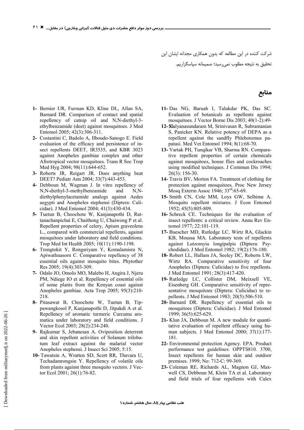شرکت کننده در این مطالعه که بدون همکاری مجدانه ایشان این تحقیق به نتیجه مطلوب نمیرسید؛ صمیمانه سپاسگزاریم.

- **1-** Bernier UR, Furman KD, Kline DL, Allan SA, Barnard DR. Comparison of contact and spatial repellency of catnip oil and N,N-diethyl-3 ethylbenzamide (deet) against mosquitoes. J Med Entomol 2005; 42(3):306-311.
- **2-** Costantini C, Badolo A, Ilboudo-Sanogo E. Field evaluation of the efficacy and persistence of insect repellents DEET, IR3535, and KBR 3023 against Anopheles gambiae complex and other Afrotropical vector mosquitoes. Trans R Soc Trop Med Hyg 2004; 98(11):644-652.
- **3-** Roberts JR, Reigart JR. Does anything beat DEET? Pediatr Ann 2004; 33(7):443-453.
- **4-** Debboun M, Wagman J. In vitro repellency of N,N-diethyl-3-methylbenzamide and N,Ndiethylphenylacetamide analogs against Aedes aegypti and Anopheles stephensi (Diptera: Culicidae). J Med Entomol 2004; 41(3):430-434.
- **5-** Tuetun B, Choochote W, Kanjanapothi D, Rattanachanpichai E, Chaithong U, Chaiwong P et al. Repellent properties of celery, Apium graveolens L., compared with commercial repellents, against mosquitoes under laboratory and field conditions. Trop Med Int Health 2005; 10(11):1190-1198.
- **6-** Trongtokit Y, Rongsriyam Y, Komalamisra N, Apiwathnasorn C. Comparative repellency of 38 essential oils against mosquito bites. Phytother Res 2005; 19(4):303-309.
- **7-** Odalo JO, Omolo MO, Malebo H, Angira J, Njeru PM, Ndiege IO et al. Repellency of essential oils of some plants from the Kenyan coast against Anopheles gambiae. Acta Trop 2005; 95(3):210- 218.
- **8-** Pitasawat B, Choochote W, Tuetun B, Tippawangkosol P, Kanjanapothi D, Jitpakdi A et al. Repellency of aromatic turmeric Curcuma aromatica under laboratory and field conditions. J Vector Ecol 2003; 28(2):234-240.
- **9-** Rajkumar S, Jebanesan A. Oviposition deterrent and skin repellent activities of Solanum trilobatum leaf extract against the malarial vector Anopheles stephensi. J Insect Sci 2005; 5:15.
- **10-** Tawatsin A, Wratten SD, Scott RR, Thavara U, Techadamrongsin Y. Repellency of volatile oils from plants against three mosquito vectors. J Vector Ecol 2001; 26(1):76-82.
- **11-** Das NG, Baruah I, Talukdar PK, Das SC. Evaluation of botanicals as repellents against mosquitoes. J Vector Borne Dis 2003; 40(1-2):49-
- 12- Kalyanasundaram M, Srinivasan R, Subramanian S, Panicker KN. Relative potency of DEPA as a repellent against the sandfly Phlebotomus papatasi. Med Vet Entomol 1994; 8(1):68-70.
- **13-** Vartak PH, Tunqikar VB, Sharma RN. Comparative repellent properties of certain chemicals against mosquitoes, house flies and cockroaches using modified techniques. J Commun Dis 1994; 26(3): 156-30.
- **14-** Travis BV, Morton FA. Treatment of clothing for protection against mosquitoes. Proc New Jersey Mosq Exterm Assoc 1946; 33<sup>rd</sup>:65-69.
- **15-** Smith CN, Cole MM, Loys GW, Selhime A. Mosquito repellent mixtures. J Econ Entomol 1952; 45(5):805-809.
- **16-** Schreck CE. Techniques for the evaluation of insect repellents: a critical review. Annu Rev Entomol 1977; 22:101-119.
- **17-** Buescher MD, Rutledge LC, Wirtz RA, Glackin KB, Moussa MA. Laboratory tests of repellents against Lutzomyia longipalpis (Diptera: Psychodidae). J Med Entomol 1982; 19(2):176-180.
- **18-** Robert LL, Hallam JA, Seeley DC, Roberts LW, Wirtz RA. Comparative sensitivity of four Anopheles (Diptera: Culicidae) to five repellents. J Med Entomol 1991; 28(3):417-420.
- **19-** Rutledge LC, Collister DM, Meixsell VE, Eisenberg GH. Comparative sensitivity of representative mosquitoes (Diptera: Culicidae) to repellents. J Med Entomol 1983; 20(5):506-510.
- **20-** Barnard DR. Repellency of essential oils to mosquitoes (Diptera: Culicidae). J Med Entomol 1999; 36(5):625-629.
- **21-** Klun JA, Debboun M. A new module for quantitative evaluation of repellent efficacy using human subjects. J Med Entomol 2000; 37(1):177- 181.
- **22-** Environmental protection Agency. EPA. Product performance test guidelines: OPPTS810. 3700, Insect repellents for human skin and outdoor premises. 1999; No: 712-C: 99-369.
- **23-** Coleman RE, Richards AL, Magnon GJ, Maxwell CS, Debboun M, Klein TA et al. Laboratory and field trials of four repellents with Culex